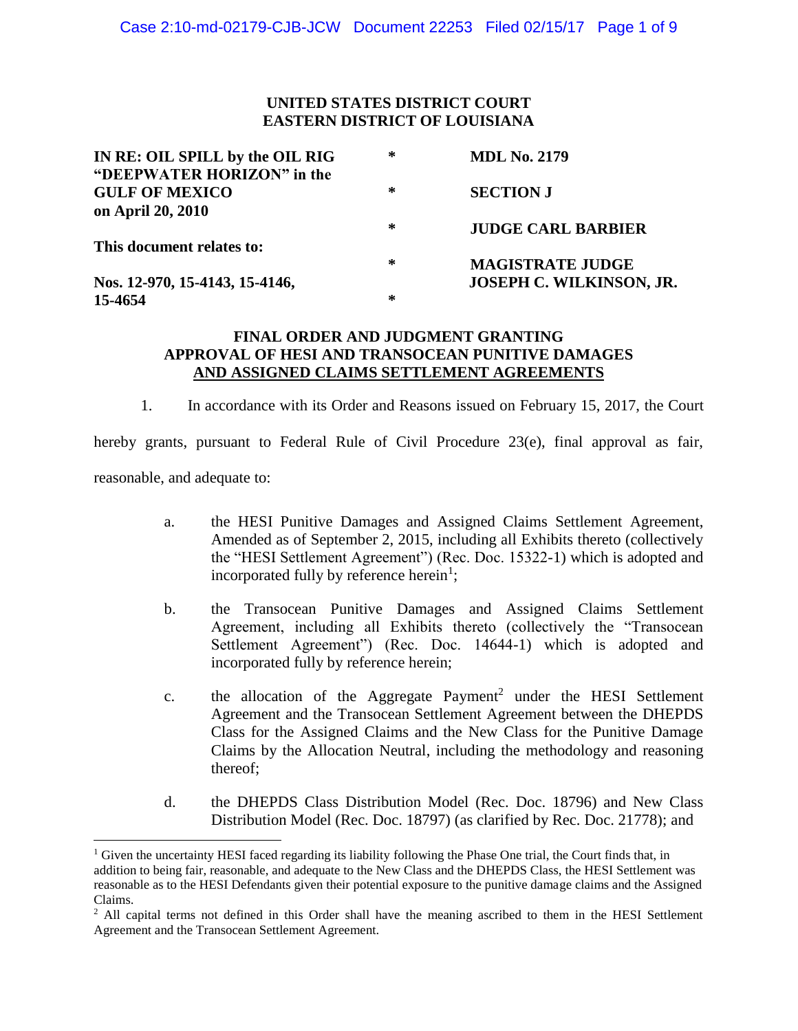# **UNITED STATES DISTRICT COURT EASTERN DISTRICT OF LOUISIANA**

| IN RE: OIL SPILL by the OIL RIG | ∗ | <b>MDL No. 2179</b>             |
|---------------------------------|---|---------------------------------|
| "DEEPWATER HORIZON" in the      |   |                                 |
| <b>GULF OF MEXICO</b>           | ∗ | <b>SECTION J</b>                |
| on April 20, 2010               |   |                                 |
|                                 | ∗ | <b>JUDGE CARL BARBIER</b>       |
| This document relates to:       |   |                                 |
|                                 | ∗ | <b>MAGISTRATE JUDGE</b>         |
| Nos. 12-970, 15-4143, 15-4146,  |   | <b>JOSEPH C. WILKINSON, JR.</b> |
| 15-4654                         | ∗ |                                 |

# **FINAL ORDER AND JUDGMENT GRANTING APPROVAL OF HESI AND TRANSOCEAN PUNITIVE DAMAGES AND ASSIGNED CLAIMS SETTLEMENT AGREEMENTS**

1. In accordance with its Order and Reasons issued on February 15, 2017, the Court

hereby grants, pursuant to Federal Rule of Civil Procedure 23(e), final approval as fair, reasonable, and adequate to:

- a. the HESI Punitive Damages and Assigned Claims Settlement Agreement, Amended as of September 2, 2015, including all Exhibits thereto (collectively the "HESI Settlement Agreement") (Rec. Doc. 15322-1) which is adopted and incorporated fully by reference herein<sup>1</sup>;
- b. the Transocean Punitive Damages and Assigned Claims Settlement Agreement, including all Exhibits thereto (collectively the "Transocean Settlement Agreement") (Rec. Doc. 14644-1) which is adopted and incorporated fully by reference herein;
- c. the allocation of the Aggregate Payment<sup>2</sup> under the HESI Settlement Agreement and the Transocean Settlement Agreement between the DHEPDS Class for the Assigned Claims and the New Class for the Punitive Damage Claims by the Allocation Neutral, including the methodology and reasoning thereof;
- d. the DHEPDS Class Distribution Model (Rec. Doc. 18796) and New Class Distribution Model (Rec. Doc. 18797) (as clarified by Rec. Doc. 21778); and

<sup>&</sup>lt;sup>1</sup> Given the uncertainty HESI faced regarding its liability following the Phase One trial, the Court finds that, in addition to being fair, reasonable, and adequate to the New Class and the DHEPDS Class, the HESI Settlement was reasonable as to the HESI Defendants given their potential exposure to the punitive damage claims and the Assigned Claims.

<sup>&</sup>lt;sup>2</sup> All capital terms not defined in this Order shall have the meaning ascribed to them in the HESI Settlement Agreement and the Transocean Settlement Agreement.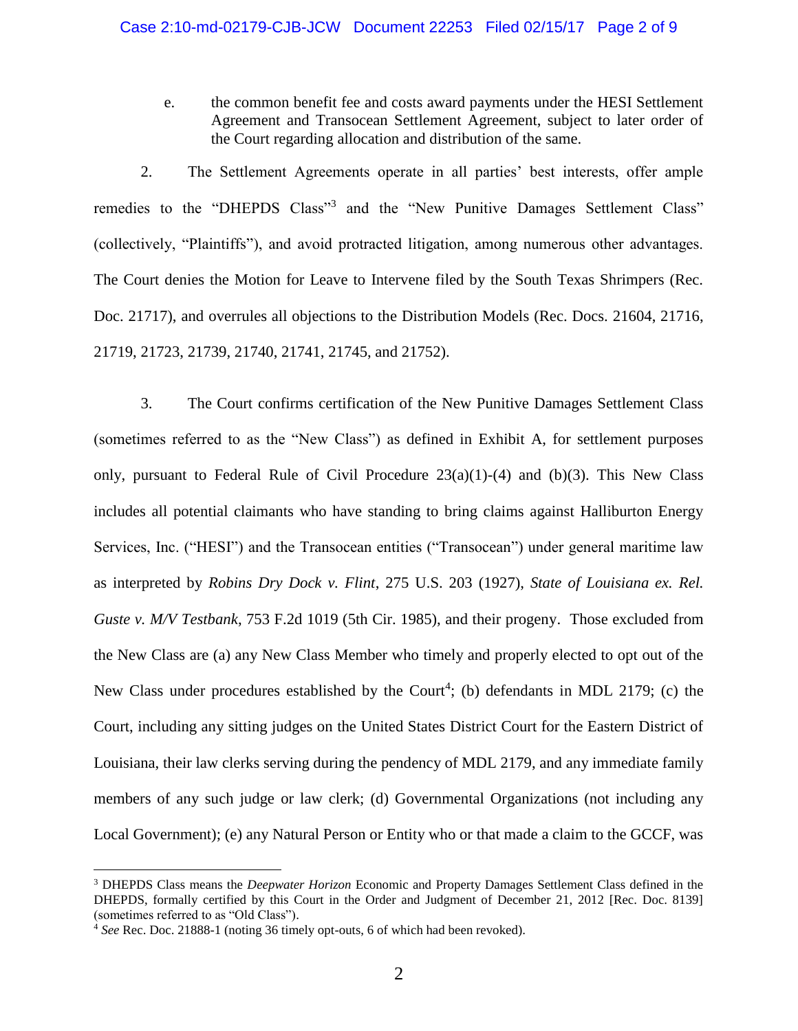e. the common benefit fee and costs award payments under the HESI Settlement Agreement and Transocean Settlement Agreement, subject to later order of the Court regarding allocation and distribution of the same.

2. The Settlement Agreements operate in all parties' best interests, offer ample remedies to the "DHEPDS Class"<sup>3</sup> and the "New Punitive Damages Settlement Class" (collectively, "Plaintiffs"), and avoid protracted litigation, among numerous other advantages. The Court denies the Motion for Leave to Intervene filed by the South Texas Shrimpers (Rec. Doc. 21717), and overrules all objections to the Distribution Models (Rec. Docs. 21604, 21716, 21719, 21723, 21739, 21740, 21741, 21745, and 21752).

3. The Court confirms certification of the New Punitive Damages Settlement Class (sometimes referred to as the "New Class") as defined in Exhibit A, for settlement purposes only, pursuant to Federal Rule of Civil Procedure  $23(a)(1)-(4)$  and  $(b)(3)$ . This New Class includes all potential claimants who have standing to bring claims against Halliburton Energy Services, Inc. ("HESI") and the Transocean entities ("Transocean") under general maritime law as interpreted by *Robins Dry Dock v. Flint*, 275 U.S. 203 (1927), *State of Louisiana ex. Rel. Guste v. M/V Testbank*, 753 F.2d 1019 (5th Cir. 1985), and their progeny. Those excluded from the New Class are (a) any New Class Member who timely and properly elected to opt out of the New Class under procedures established by the Court<sup>4</sup>; (b) defendants in MDL 2179; (c) the Court, including any sitting judges on the United States District Court for the Eastern District of Louisiana, their law clerks serving during the pendency of MDL 2179, and any immediate family members of any such judge or law clerk; (d) Governmental Organizations (not including any Local Government); (e) any Natural Person or Entity who or that made a claim to the GCCF, was

<sup>3</sup> DHEPDS Class means the *Deepwater Horizon* Economic and Property Damages Settlement Class defined in the DHEPDS, formally certified by this Court in the Order and Judgment of December 21, 2012 [Rec. Doc. 8139] (sometimes referred to as "Old Class").

<sup>4</sup> *See* Rec. Doc. 21888-1 (noting 36 timely opt-outs, 6 of which had been revoked).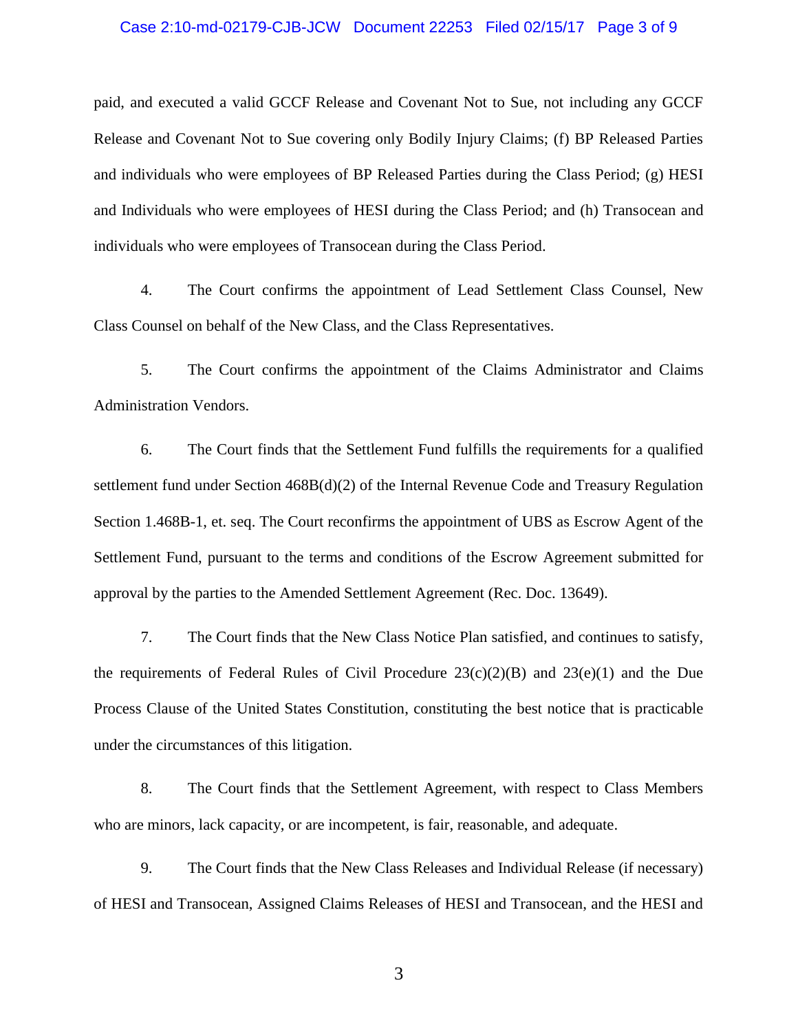#### Case 2:10-md-02179-CJB-JCW Document 22253 Filed 02/15/17 Page 3 of 9

paid, and executed a valid GCCF Release and Covenant Not to Sue, not including any GCCF Release and Covenant Not to Sue covering only Bodily Injury Claims; (f) BP Released Parties and individuals who were employees of BP Released Parties during the Class Period; (g) HESI and Individuals who were employees of HESI during the Class Period; and (h) Transocean and individuals who were employees of Transocean during the Class Period.

4. The Court confirms the appointment of Lead Settlement Class Counsel, New Class Counsel on behalf of the New Class, and the Class Representatives.

5. The Court confirms the appointment of the Claims Administrator and Claims Administration Vendors.

6. The Court finds that the Settlement Fund fulfills the requirements for a qualified settlement fund under Section 468B(d)(2) of the Internal Revenue Code and Treasury Regulation Section 1.468B-1, et. seq. The Court reconfirms the appointment of UBS as Escrow Agent of the Settlement Fund, pursuant to the terms and conditions of the Escrow Agreement submitted for approval by the parties to the Amended Settlement Agreement (Rec. Doc. 13649).

7. The Court finds that the New Class Notice Plan satisfied, and continues to satisfy, the requirements of Federal Rules of Civil Procedure  $23(c)(2)(B)$  and  $23(e)(1)$  and the Due Process Clause of the United States Constitution, constituting the best notice that is practicable under the circumstances of this litigation.

8. The Court finds that the Settlement Agreement, with respect to Class Members who are minors, lack capacity, or are incompetent, is fair, reasonable, and adequate.

9. The Court finds that the New Class Releases and Individual Release (if necessary) of HESI and Transocean, Assigned Claims Releases of HESI and Transocean, and the HESI and

3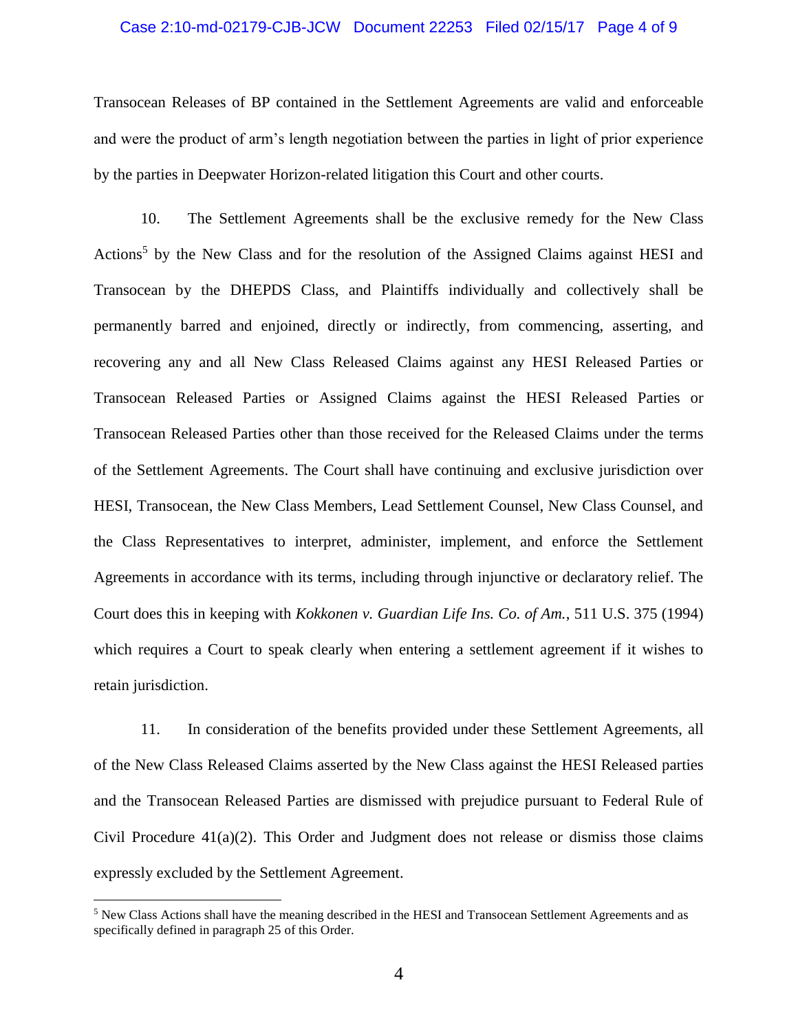#### Case 2:10-md-02179-CJB-JCW Document 22253 Filed 02/15/17 Page 4 of 9

Transocean Releases of BP contained in the Settlement Agreements are valid and enforceable and were the product of arm's length negotiation between the parties in light of prior experience by the parties in Deepwater Horizon-related litigation this Court and other courts.

10. The Settlement Agreements shall be the exclusive remedy for the New Class Actions<sup>5</sup> by the New Class and for the resolution of the Assigned Claims against HESI and Transocean by the DHEPDS Class, and Plaintiffs individually and collectively shall be permanently barred and enjoined, directly or indirectly, from commencing, asserting, and recovering any and all New Class Released Claims against any HESI Released Parties or Transocean Released Parties or Assigned Claims against the HESI Released Parties or Transocean Released Parties other than those received for the Released Claims under the terms of the Settlement Agreements. The Court shall have continuing and exclusive jurisdiction over HESI, Transocean, the New Class Members, Lead Settlement Counsel, New Class Counsel, and the Class Representatives to interpret, administer, implement, and enforce the Settlement Agreements in accordance with its terms, including through injunctive or declaratory relief. The Court does this in keeping with *Kokkonen v. Guardian Life Ins. Co. of Am.*, 511 U.S. 375 (1994) which requires a Court to speak clearly when entering a settlement agreement if it wishes to retain jurisdiction.

11. In consideration of the benefits provided under these Settlement Agreements, all of the New Class Released Claims asserted by the New Class against the HESI Released parties and the Transocean Released Parties are dismissed with prejudice pursuant to Federal Rule of Civil Procedure 41(a)(2). This Order and Judgment does not release or dismiss those claims expressly excluded by the Settlement Agreement.

<sup>5</sup> New Class Actions shall have the meaning described in the HESI and Transocean Settlement Agreements and as specifically defined in paragraph 25 of this Order.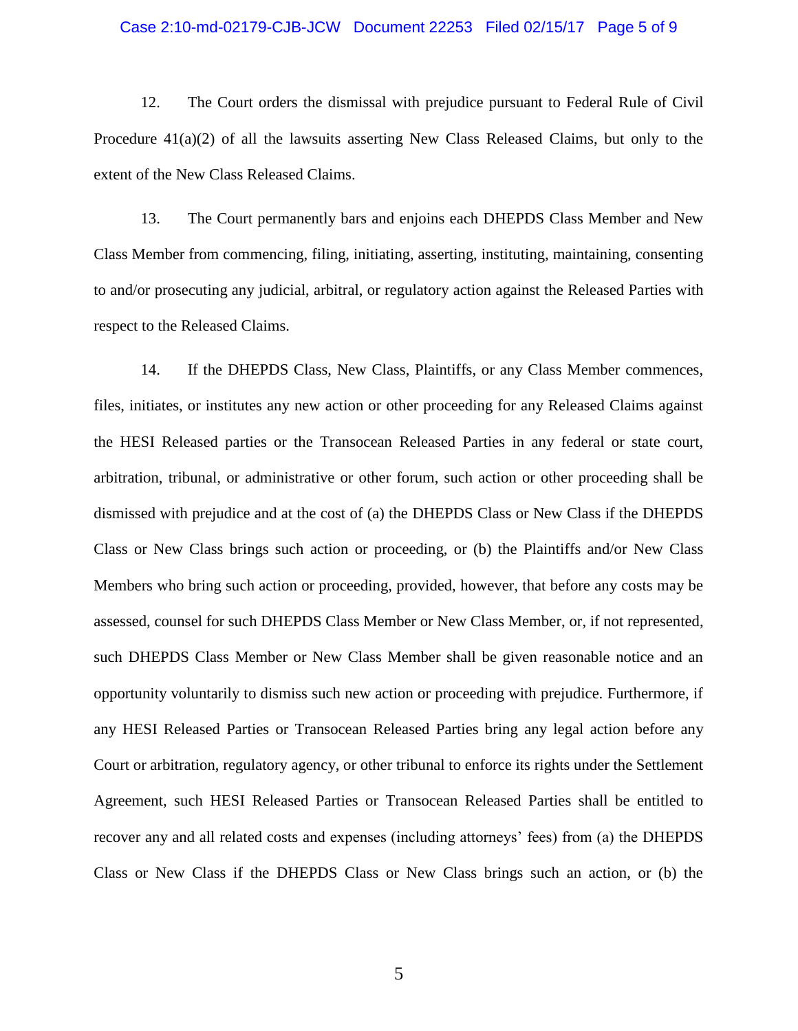#### Case 2:10-md-02179-CJB-JCW Document 22253 Filed 02/15/17 Page 5 of 9

12. The Court orders the dismissal with prejudice pursuant to Federal Rule of Civil Procedure  $41(a)(2)$  of all the lawsuits asserting New Class Released Claims, but only to the extent of the New Class Released Claims.

13. The Court permanently bars and enjoins each DHEPDS Class Member and New Class Member from commencing, filing, initiating, asserting, instituting, maintaining, consenting to and/or prosecuting any judicial, arbitral, or regulatory action against the Released Parties with respect to the Released Claims.

14. If the DHEPDS Class, New Class, Plaintiffs, or any Class Member commences, files, initiates, or institutes any new action or other proceeding for any Released Claims against the HESI Released parties or the Transocean Released Parties in any federal or state court, arbitration, tribunal, or administrative or other forum, such action or other proceeding shall be dismissed with prejudice and at the cost of (a) the DHEPDS Class or New Class if the DHEPDS Class or New Class brings such action or proceeding, or (b) the Plaintiffs and/or New Class Members who bring such action or proceeding, provided, however, that before any costs may be assessed, counsel for such DHEPDS Class Member or New Class Member, or, if not represented, such DHEPDS Class Member or New Class Member shall be given reasonable notice and an opportunity voluntarily to dismiss such new action or proceeding with prejudice. Furthermore, if any HESI Released Parties or Transocean Released Parties bring any legal action before any Court or arbitration, regulatory agency, or other tribunal to enforce its rights under the Settlement Agreement, such HESI Released Parties or Transocean Released Parties shall be entitled to recover any and all related costs and expenses (including attorneys' fees) from (a) the DHEPDS Class or New Class if the DHEPDS Class or New Class brings such an action, or (b) the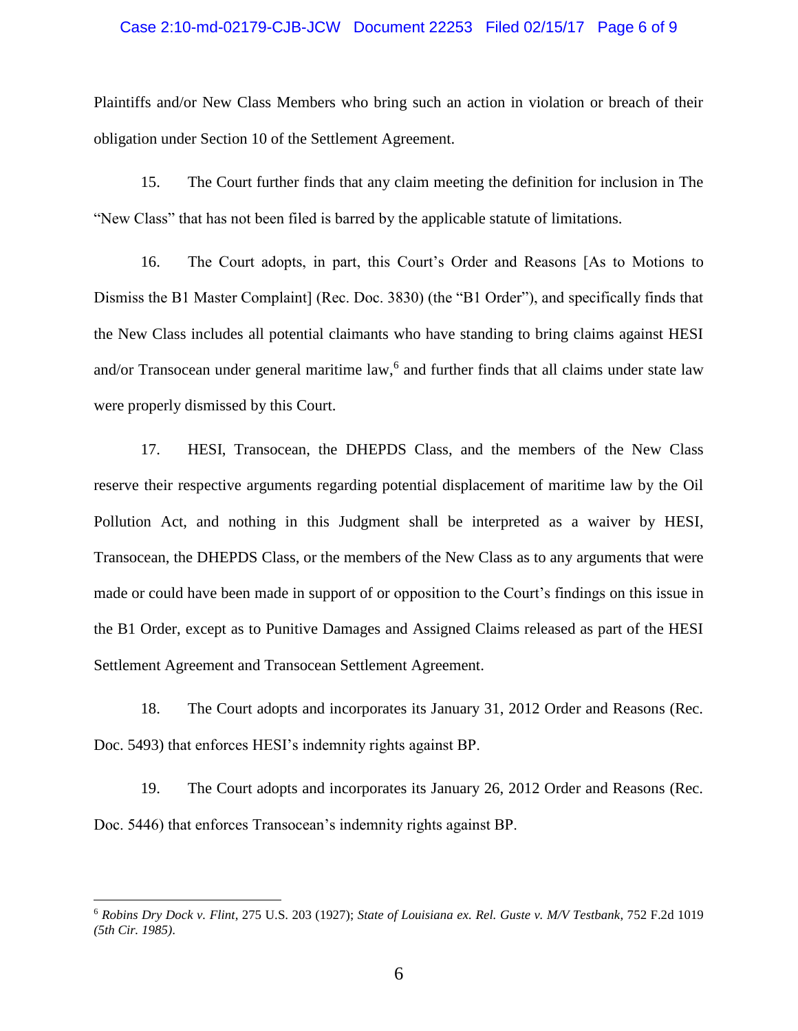#### Case 2:10-md-02179-CJB-JCW Document 22253 Filed 02/15/17 Page 6 of 9

Plaintiffs and/or New Class Members who bring such an action in violation or breach of their obligation under Section 10 of the Settlement Agreement.

15. The Court further finds that any claim meeting the definition for inclusion in The "New Class" that has not been filed is barred by the applicable statute of limitations.

16. The Court adopts, in part, this Court's Order and Reasons [As to Motions to Dismiss the B1 Master Complaint] (Rec. Doc. 3830) (the "B1 Order"), and specifically finds that the New Class includes all potential claimants who have standing to bring claims against HESI and/or Transocean under general maritime law,<sup>6</sup> and further finds that all claims under state law were properly dismissed by this Court.

17. HESI, Transocean, the DHEPDS Class, and the members of the New Class reserve their respective arguments regarding potential displacement of maritime law by the Oil Pollution Act, and nothing in this Judgment shall be interpreted as a waiver by HESI, Transocean, the DHEPDS Class, or the members of the New Class as to any arguments that were made or could have been made in support of or opposition to the Court's findings on this issue in the B1 Order, except as to Punitive Damages and Assigned Claims released as part of the HESI Settlement Agreement and Transocean Settlement Agreement.

18. The Court adopts and incorporates its January 31, 2012 Order and Reasons (Rec. Doc. 5493) that enforces HESI's indemnity rights against BP.

19. The Court adopts and incorporates its January 26, 2012 Order and Reasons (Rec. Doc. 5446) that enforces Transocean's indemnity rights against BP.

<sup>6</sup> *Robins Dry Dock v. Flint*, 275 U.S. 203 (1927); *State of Louisiana ex. Rel. Guste v. M/V Testbank*, 752 F.2d 1019 *(5th Cir. 1985)*.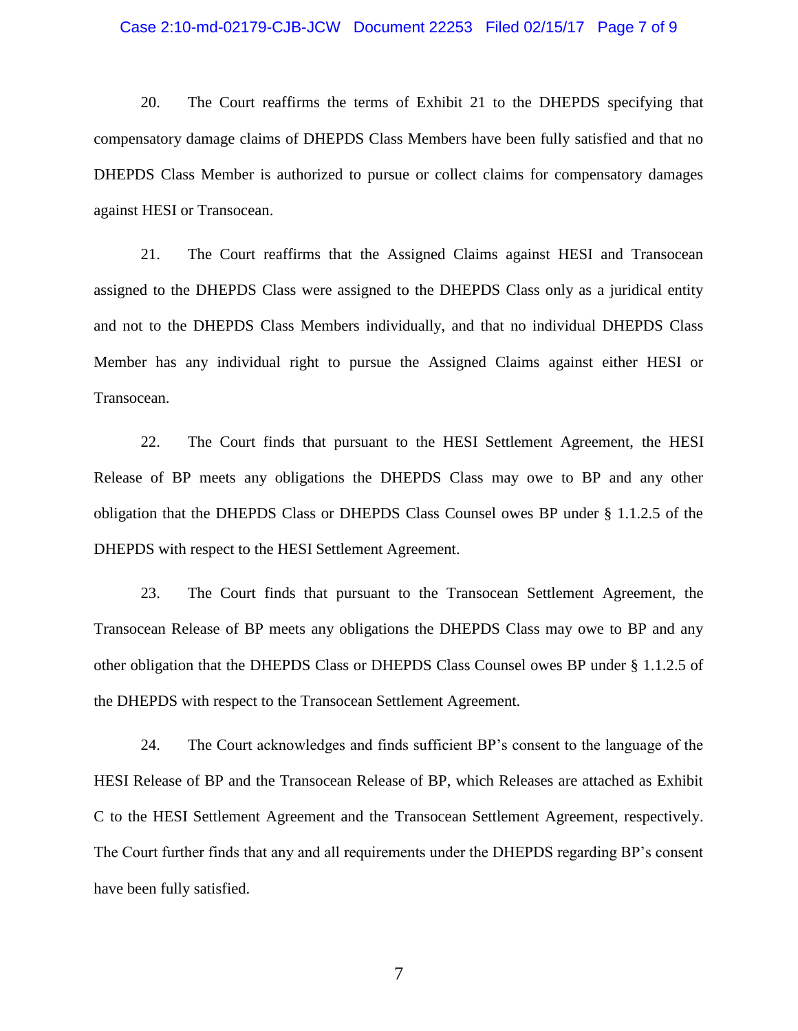#### Case 2:10-md-02179-CJB-JCW Document 22253 Filed 02/15/17 Page 7 of 9

20. The Court reaffirms the terms of Exhibit 21 to the DHEPDS specifying that compensatory damage claims of DHEPDS Class Members have been fully satisfied and that no DHEPDS Class Member is authorized to pursue or collect claims for compensatory damages against HESI or Transocean.

21. The Court reaffirms that the Assigned Claims against HESI and Transocean assigned to the DHEPDS Class were assigned to the DHEPDS Class only as a juridical entity and not to the DHEPDS Class Members individually, and that no individual DHEPDS Class Member has any individual right to pursue the Assigned Claims against either HESI or Transocean.

22. The Court finds that pursuant to the HESI Settlement Agreement, the HESI Release of BP meets any obligations the DHEPDS Class may owe to BP and any other obligation that the DHEPDS Class or DHEPDS Class Counsel owes BP under § 1.1.2.5 of the DHEPDS with respect to the HESI Settlement Agreement.

23. The Court finds that pursuant to the Transocean Settlement Agreement, the Transocean Release of BP meets any obligations the DHEPDS Class may owe to BP and any other obligation that the DHEPDS Class or DHEPDS Class Counsel owes BP under § 1.1.2.5 of the DHEPDS with respect to the Transocean Settlement Agreement.

24. The Court acknowledges and finds sufficient BP's consent to the language of the HESI Release of BP and the Transocean Release of BP, which Releases are attached as Exhibit C to the HESI Settlement Agreement and the Transocean Settlement Agreement, respectively. The Court further finds that any and all requirements under the DHEPDS regarding BP's consent have been fully satisfied.

7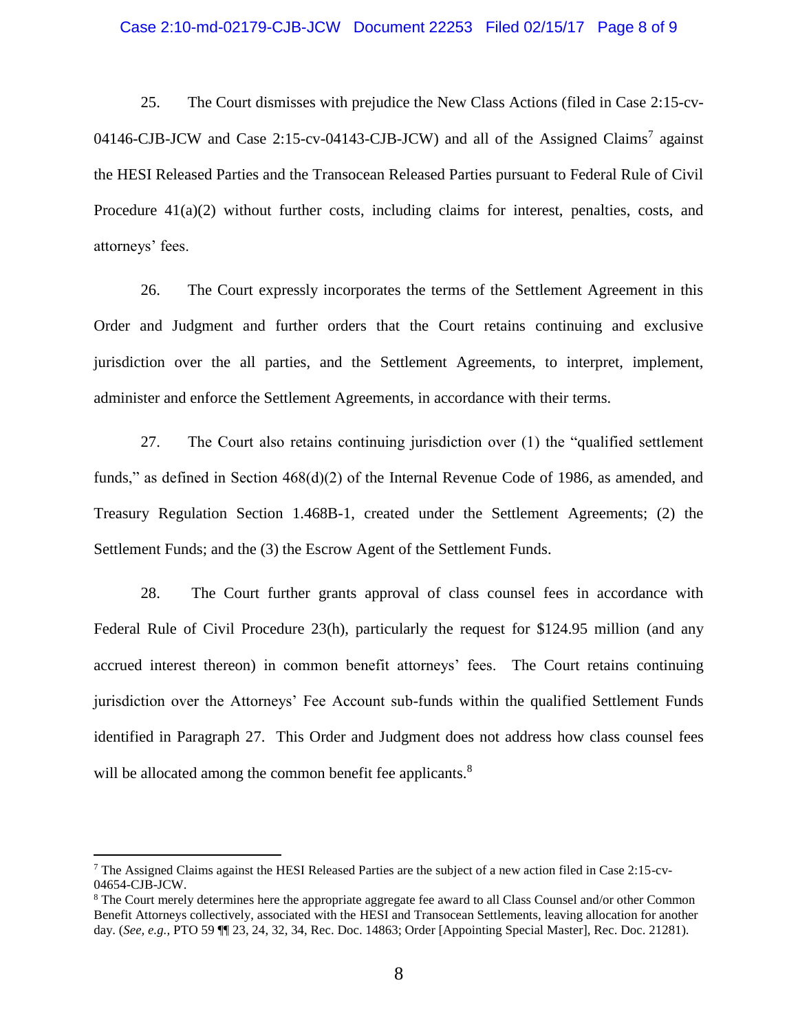#### Case 2:10-md-02179-CJB-JCW Document 22253 Filed 02/15/17 Page 8 of 9

25. The Court dismisses with prejudice the New Class Actions (filed in Case 2:15-cv-04146-CJB-JCW and Case 2:15-cv-04143-CJB-JCW) and all of the Assigned Claims<sup>7</sup> against the HESI Released Parties and the Transocean Released Parties pursuant to Federal Rule of Civil Procedure 41(a)(2) without further costs, including claims for interest, penalties, costs, and attorneys' fees.

26. The Court expressly incorporates the terms of the Settlement Agreement in this Order and Judgment and further orders that the Court retains continuing and exclusive jurisdiction over the all parties, and the Settlement Agreements, to interpret, implement, administer and enforce the Settlement Agreements, in accordance with their terms.

27. The Court also retains continuing jurisdiction over (1) the "qualified settlement funds," as defined in Section 468(d)(2) of the Internal Revenue Code of 1986, as amended, and Treasury Regulation Section 1.468B-1, created under the Settlement Agreements; (2) the Settlement Funds; and the (3) the Escrow Agent of the Settlement Funds.

28. The Court further grants approval of class counsel fees in accordance with Federal Rule of Civil Procedure 23(h), particularly the request for \$124.95 million (and any accrued interest thereon) in common benefit attorneys' fees. The Court retains continuing jurisdiction over the Attorneys' Fee Account sub-funds within the qualified Settlement Funds identified in Paragraph 27. This Order and Judgment does not address how class counsel fees will be allocated among the common benefit fee applicants.<sup>8</sup>

<sup>7</sup> The Assigned Claims against the HESI Released Parties are the subject of a new action filed in Case 2:15-cv-04654-CJB-JCW.

<sup>8</sup> The Court merely determines here the appropriate aggregate fee award to all Class Counsel and/or other Common Benefit Attorneys collectively, associated with the HESI and Transocean Settlements, leaving allocation for another day. (*See, e.g.,* PTO 59 ¶¶ 23, 24, 32, 34, Rec. Doc. 14863; Order [Appointing Special Master], Rec. Doc. 21281).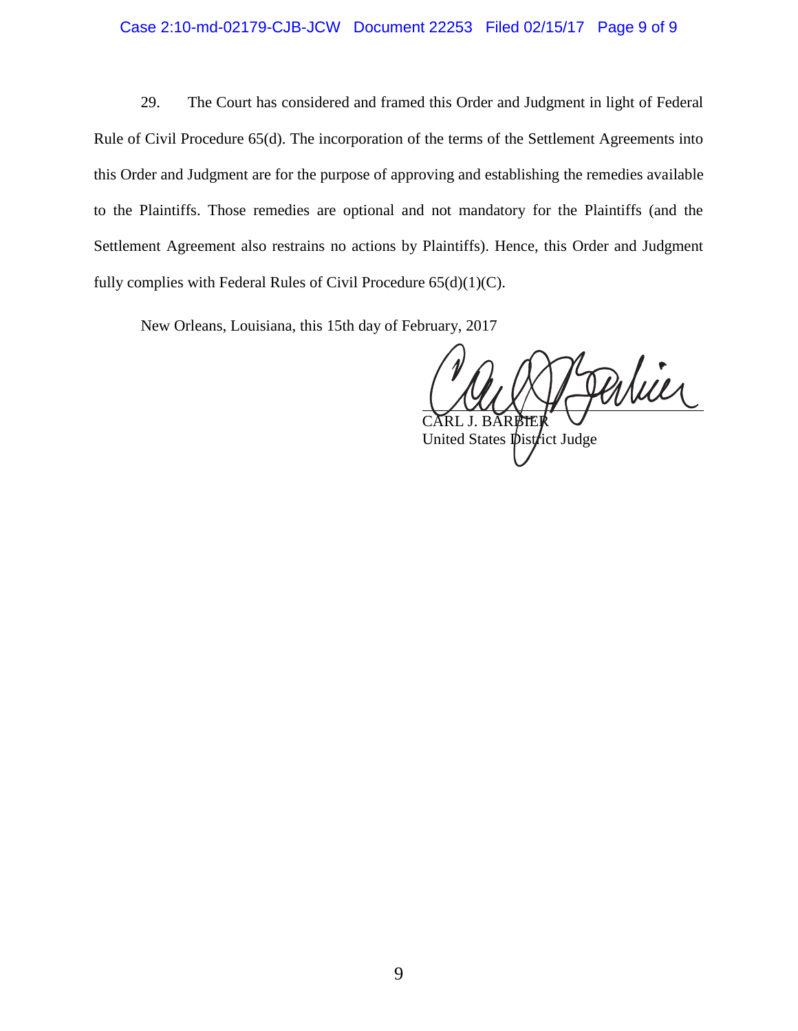#### Case 2:10-md-02179-CJB-JCW Document 22253 Filed 02/15/17 Page 9 of 9

29. The Court has considered and framed this Order and Judgment in light of Federal Rule of Civil Procedure 65(d). The incorporation of the terms of the Settlement Agreements into this Order and Judgment are for the purpose of approving and establishing the remedies available to the Plaintiffs. Those remedies are optional and not mandatory for the Plaintiffs (and the Settlement Agreement also restrains no actions by Plaintiffs). Hence, this Order and Judgment fully complies with Federal Rules of Civil Procedure 65(d)(1)(C).

New Orleans, Louisiana, this 15th day of February, 2017

Pertier CĂRL J. BĂRBIER

United States *District* Judge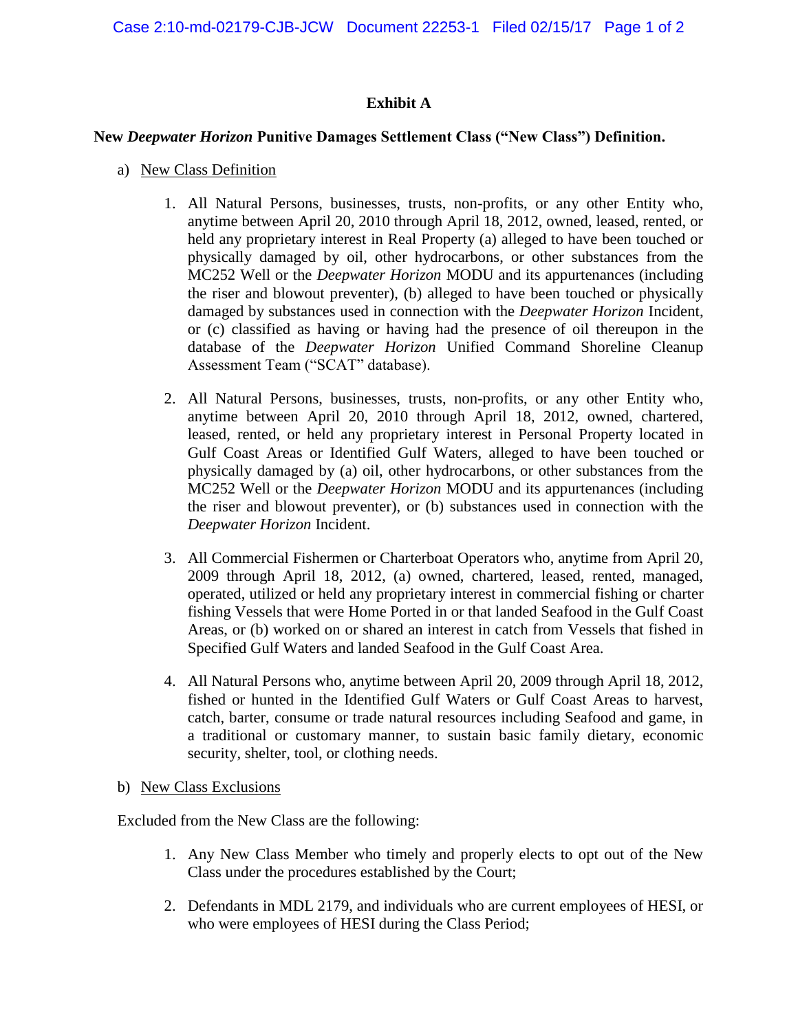# **Exhibit A**

# **New** *Deepwater Horizon* **Punitive Damages Settlement Class ("New Class") Definition.**

- a) New Class Definition
	- 1. All Natural Persons, businesses, trusts, non-profits, or any other Entity who, anytime between April 20, 2010 through April 18, 2012, owned, leased, rented, or held any proprietary interest in Real Property (a) alleged to have been touched or physically damaged by oil, other hydrocarbons, or other substances from the MC252 Well or the *Deepwater Horizon* MODU and its appurtenances (including the riser and blowout preventer), (b) alleged to have been touched or physically damaged by substances used in connection with the *Deepwater Horizon* Incident, or (c) classified as having or having had the presence of oil thereupon in the database of the *Deepwater Horizon* Unified Command Shoreline Cleanup Assessment Team ("SCAT" database).
	- 2. All Natural Persons, businesses, trusts, non-profits, or any other Entity who, anytime between April 20, 2010 through April 18, 2012, owned, chartered, leased, rented, or held any proprietary interest in Personal Property located in Gulf Coast Areas or Identified Gulf Waters, alleged to have been touched or physically damaged by (a) oil, other hydrocarbons, or other substances from the MC252 Well or the *Deepwater Horizon* MODU and its appurtenances (including the riser and blowout preventer), or (b) substances used in connection with the *Deepwater Horizon* Incident.
	- 3. All Commercial Fishermen or Charterboat Operators who, anytime from April 20, 2009 through April 18, 2012, (a) owned, chartered, leased, rented, managed, operated, utilized or held any proprietary interest in commercial fishing or charter fishing Vessels that were Home Ported in or that landed Seafood in the Gulf Coast Areas, or (b) worked on or shared an interest in catch from Vessels that fished in Specified Gulf Waters and landed Seafood in the Gulf Coast Area.
	- 4. All Natural Persons who, anytime between April 20, 2009 through April 18, 2012, fished or hunted in the Identified Gulf Waters or Gulf Coast Areas to harvest, catch, barter, consume or trade natural resources including Seafood and game, in a traditional or customary manner, to sustain basic family dietary, economic security, shelter, tool, or clothing needs.
- b) New Class Exclusions

Excluded from the New Class are the following:

- 1. Any New Class Member who timely and properly elects to opt out of the New Class under the procedures established by the Court;
- 2. Defendants in MDL 2179, and individuals who are current employees of HESI, or who were employees of HESI during the Class Period;